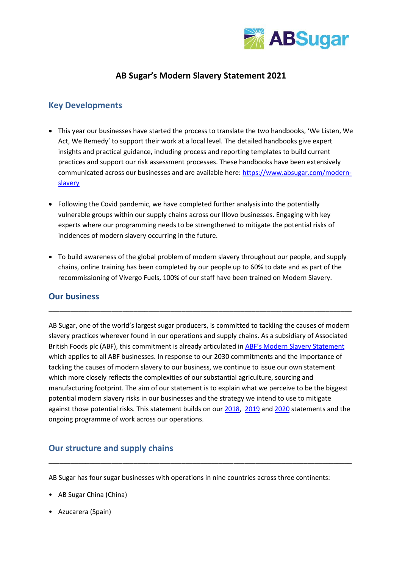

# **AB Sugar's Modern Slavery Statement 2021**

## **Key Developments**

- This year our businesses have started the process to translate the two handbooks, 'We Listen, We Act, We Remedy' to support their work at a local level. The detailed handbooks give expert insights and practical guidance, including process and reporting templates to build current practices and support our risk assessment processes. These handbooks have been extensively communicated across our businesses and are available here: [https://www.absugar.com/modern](https://www.absugar.com/modern-slavery)[slavery](https://www.absugar.com/modern-slavery)
- Following the Covid pandemic, we have completed further analysis into the potentially vulnerable groups within our supply chains across our Illovo businesses. Engaging with key experts where our programming needs to be strengthened to mitigate the potential risks of incidences of modern slavery occurring in the future.
- To build awareness of the global problem of modern slavery throughout our people, and supply chains, online training has been completed by our people up to 60% to date and as part of the recommissioning of Vivergo Fuels, 100% of our staff have been trained on Modern Slavery.

\_\_\_\_\_\_\_\_\_\_\_\_\_\_\_\_\_\_\_\_\_\_\_\_\_\_\_\_\_\_\_\_\_\_\_\_\_\_\_\_\_\_\_\_\_\_\_\_\_\_\_\_\_\_\_\_\_\_\_\_\_\_\_\_\_\_\_\_\_\_\_\_\_\_\_\_\_\_\_\_\_\_

## **Our business**

AB Sugar, one of the world's largest sugar producers, is committed to tackling the causes of modern slavery practices wherever found in our operations and supply chains. As a subsidiary of Associated British Foods plc (ABF), this commitment is already articulated in [ABF's Modern Slavery](https://www.abf.co.uk/content/dam/abf/corporate/Documents/About-us/governance/policies/abf_2021_modern_slavery_statement.pdf.downloadasset.pdf) Statement which applies to all ABF businesses. In response to our 2030 commitments and the importance of tackling the causes of modern slavery to our business, we continue to issue our own statement which more closely reflects the complexities of our substantial agriculture, sourcing and manufacturing footprint. The aim of our statement is to explain what we perceive to be the biggest potential modern slavery risks in our businesses and the strategy we intend to use to mitigate against those potential risks. This statement builds on ou[r 2018,](https://www.absugar.com/perch/resources/abs-modern-slavery-statement-2018-2.pdf) [2019](https://www.absugar.com/perch/resources/archivefiles/ab-sugar-modern-slavery-statement-2019.pdf) an[d 2020](https://www.absugar.com/perch/resources/ab-sugar-modern-slavery-statementdecember-2020-2.pdf) statements and the ongoing programme of work across our operations.

## **Our structure and supply chains**

AB Sugar has four sugar businesses with operations in nine countries across three continents:

\_\_\_\_\_\_\_\_\_\_\_\_\_\_\_\_\_\_\_\_\_\_\_\_\_\_\_\_\_\_\_\_\_\_\_\_\_\_\_\_\_\_\_\_\_\_\_\_\_\_\_\_\_\_\_\_\_\_\_\_\_\_\_\_\_\_\_\_\_\_\_\_\_\_\_\_\_\_\_\_\_\_

- AB Sugar China (China)
- Azucarera (Spain)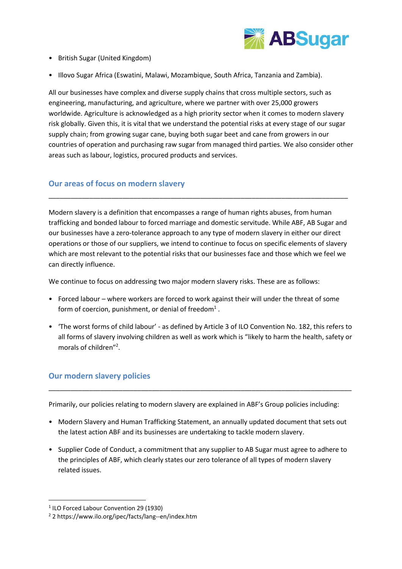

- British Sugar (United Kingdom)
- Illovo Sugar Africa (Eswatini, Malawi, Mozambique, South Africa, Tanzania and Zambia).

All our businesses have complex and diverse supply chains that cross multiple sectors, such as engineering, manufacturing, and agriculture, where we partner with over 25,000 growers worldwide. Agriculture is acknowledged as a high priority sector when it comes to modern slavery risk globally. Given this, it is vital that we understand the potential risks at every stage of our sugar supply chain; from growing sugar cane, buying both sugar beet and cane from growers in our countries of operation and purchasing raw sugar from managed third parties. We also consider other areas such as labour, logistics, procured products and services.

## **Our areas of focus on modern slavery**

Modern slavery is a definition that encompasses a range of human rights abuses, from human trafficking and bonded labour to forced marriage and domestic servitude. While ABF, AB Sugar and our businesses have a zero-tolerance approach to any type of modern slavery in either our direct operations or those of our suppliers, we intend to continue to focus on specific elements of slavery which are most relevant to the potential risks that our businesses face and those which we feel we can directly influence.

\_\_\_\_\_\_\_\_\_\_\_\_\_\_\_\_\_\_\_\_\_\_\_\_\_\_\_\_\_\_\_\_\_\_\_\_\_\_\_\_\_\_\_\_\_\_\_\_\_\_\_\_\_\_\_\_\_\_\_\_\_\_\_\_\_\_\_\_\_\_\_\_\_\_\_\_\_\_\_\_\_

We continue to focus on addressing two major modern slavery risks. These are as follows:

- Forced labour where workers are forced to work against their will under the threat of some form of coercion, punishment, or denial of freedom<sup>1</sup>.
- 'The worst forms of child labour' as defined by Article 3 of ILO Convention No. 182, this refers to all forms of slavery involving children as well as work which is "likely to harm the health, safety or morals of children"<sup>2</sup>.

## **Our modern slavery policies**

Primarily, our policies relating to modern slavery are explained in ABF's Group policies including:

\_\_\_\_\_\_\_\_\_\_\_\_\_\_\_\_\_\_\_\_\_\_\_\_\_\_\_\_\_\_\_\_\_\_\_\_\_\_\_\_\_\_\_\_\_\_\_\_\_\_\_\_\_\_\_\_\_\_\_\_\_\_\_\_\_\_\_\_\_\_\_\_\_\_\_\_\_\_\_\_\_\_

- Modern Slavery and Human Trafficking Statement, an annually updated document that sets out the latest action ABF and its businesses are undertaking to tackle modern slavery.
- Supplier Code of Conduct, a commitment that any supplier to AB Sugar must agree to adhere to the principles of ABF, which clearly states our zero tolerance of all types of modern slavery related issues.

<sup>1</sup> ILO Forced Labour Convention 29 (1930)

<sup>2</sup> 2 https://www.ilo.org/ipec/facts/lang--en/index.htm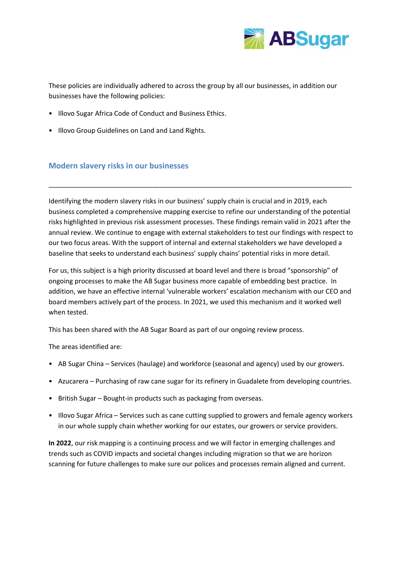

These policies are individually adhered to across the group by all our businesses, in addition our businesses have the following policies:

- Illovo Sugar Africa Code of Conduct and Business Ethics.
- Illovo Group Guidelines on Land and Land Rights.

#### **Modern slavery risks in our businesses**

Identifying the modern slavery risks in our business' supply chain is crucial and in 2019, each business completed a comprehensive mapping exercise to refine our understanding of the potential risks highlighted in previous risk assessment processes. These findings remain valid in 2021 after the annual review. We continue to engage with external stakeholders to test our findings with respect to our two focus areas. With the support of internal and external stakeholders we have developed a baseline that seeks to understand each business' supply chains' potential risks in more detail.

\_\_\_\_\_\_\_\_\_\_\_\_\_\_\_\_\_\_\_\_\_\_\_\_\_\_\_\_\_\_\_\_\_\_\_\_\_\_\_\_\_\_\_\_\_\_\_\_\_\_\_\_\_\_\_\_\_\_\_\_\_\_\_\_\_\_\_\_\_\_\_\_\_\_\_\_\_\_\_\_\_\_

For us, this subject is a high priority discussed at board level and there is broad "sponsorship" of ongoing processes to make the AB Sugar business more capable of embedding best practice. In addition, we have an effective internal 'vulnerable workers' escalation mechanism with our CEO and board members actively part of the process. In 2021, we used this mechanism and it worked well when tested.

This has been shared with the AB Sugar Board as part of our ongoing review process.

The areas identified are:

- AB Sugar China Services (haulage) and workforce (seasonal and agency) used by our growers.
- Azucarera Purchasing of raw cane sugar for its refinery in Guadalete from developing countries.
- British Sugar Bought-in products such as packaging from overseas.
- Illovo Sugar Africa Services such as cane cutting supplied to growers and female agency workers in our whole supply chain whether working for our estates, our growers or service providers.

**In 2022**, our risk mapping is a continuing process and we will factor in emerging challenges and trends such as COVID impacts and societal changes including migration so that we are horizon scanning for future challenges to make sure our polices and processes remain aligned and current.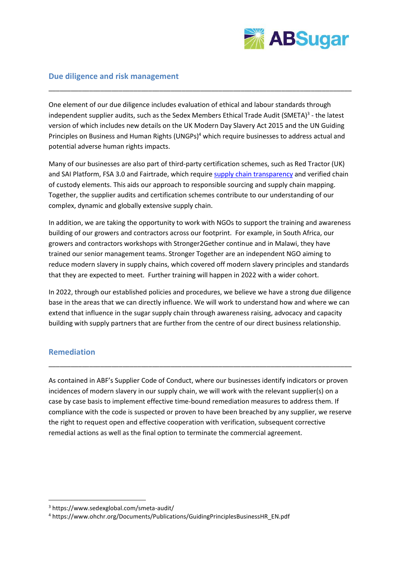

## **Due diligence and risk management**

One element of our due diligence includes evaluation of ethical and labour standards through independent supplier audits, such as the Sedex Members Ethical Trade Audit (SMETA)<sup>3</sup> - the latest version of which includes new details on the UK Modern Day Slavery Act 2015 and the UN Guiding Principles on Business and Human Rights (UNGPs) <sup>4</sup> which require businesses to address actual and potential adverse human rights impacts.

\_\_\_\_\_\_\_\_\_\_\_\_\_\_\_\_\_\_\_\_\_\_\_\_\_\_\_\_\_\_\_\_\_\_\_\_\_\_\_\_\_\_\_\_\_\_\_\_\_\_\_\_\_\_\_\_\_\_\_\_\_\_\_\_\_\_\_\_\_\_\_\_\_\_\_\_\_\_\_\_\_\_

Many of our businesses are also part of third-party certification schemes, such as Red Tractor (UK) and SAI Platform, FSA 3.0 and Fairtrade, which require [supply chain transparency](https://www.absugar.com/sourcing-map) and verified chain of custody elements. This aids our approach to responsible sourcing and supply chain mapping. Together, the supplier audits and certification schemes contribute to our understanding of our complex, dynamic and globally extensive supply chain.

In addition, we are taking the opportunity to work with NGOs to support the training and awareness building of our growers and contractors across our footprint. For example, in South Africa, our growers and contractors workshops with Stronger2Gether continue and in Malawi, they have trained our senior management teams. Stronger Together are an independent NGO aiming to reduce modern slavery in supply chains, which covered off modern slavery principles and standards that they are expected to meet. Further training will happen in 2022 with a wider cohort.

In 2022, through our established policies and procedures, we believe we have a strong due diligence base in the areas that we can directly influence. We will work to understand how and where we can extend that influence in the sugar supply chain through awareness raising, advocacy and capacity building with supply partners that are further from the centre of our direct business relationship.

## **Remediation**

As contained in ABF's Supplier Code of Conduct, where our businesses identify indicators or proven incidences of modern slavery in our supply chain, we will work with the relevant supplier(s) on a case by case basis to implement effective time-bound remediation measures to address them. If compliance with the code is suspected or proven to have been breached by any supplier, we reserve the right to request open and effective cooperation with verification, subsequent corrective remedial actions as well as the final option to terminate the commercial agreement.

\_\_\_\_\_\_\_\_\_\_\_\_\_\_\_\_\_\_\_\_\_\_\_\_\_\_\_\_\_\_\_\_\_\_\_\_\_\_\_\_\_\_\_\_\_\_\_\_\_\_\_\_\_\_\_\_\_\_\_\_\_\_\_\_\_\_\_\_\_\_\_\_\_\_\_\_\_\_\_\_\_\_

<sup>3</sup> https://www.sedexglobal.com/smeta-audit/

<sup>4</sup> https://www.ohchr.org/Documents/Publications/GuidingPrinciplesBusinessHR\_EN.pdf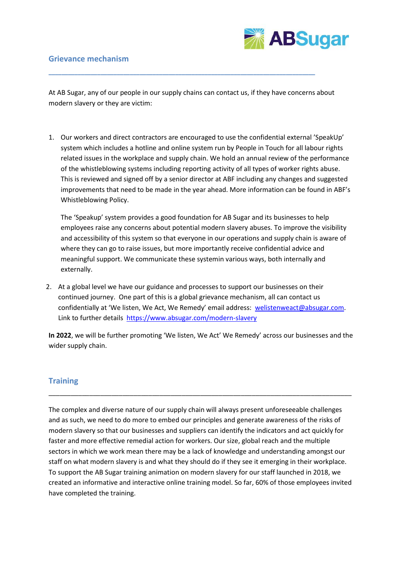#### **Grievance mechanism**



At AB Sugar, any of our people in our supply chains can contact us, if they have concerns about modern slavery or they are victim:

**\_\_\_\_\_\_\_\_\_\_\_\_\_\_\_\_\_\_\_\_\_\_\_\_\_\_\_\_\_\_\_\_\_\_\_\_\_\_\_\_\_\_\_\_\_\_\_\_\_\_\_\_\_\_\_\_\_\_\_\_\_\_\_\_\_\_\_\_\_\_\_\_\_\_\_\_\_\_\_\_\_\_**

1. Our workers and direct contractors are encouraged to use the confidential external 'SpeakUp' system which includes a hotline and online system run by People in Touch for all labour rights related issues in the workplace and supply chain. We hold an annual review of the performance of the whistleblowing systems including reporting activity of all types of worker rights abuse. This is reviewed and signed off by a senior director at ABF including any changes and suggested improvements that need to be made in the year ahead. More information can be found in ABF's Whistleblowing Policy.

The 'Speakup' system provides a good foundation for AB Sugar and its businesses to help employees raise any concerns about potential modern slavery abuses. To improve the visibility and accessibility of this system so that everyone in our operations and supply chain is aware of where they can go to raise issues, but more importantly receive confidential advice and meaningful support. We communicate these systemin various ways, both internally and externally.

2. At a global level we have our guidance and processes to support our businesses on their continued journey. One part of this is a global grievance mechanism, all can contact us confidentially at 'We listen, We Act, We Remedy' email address: [welistenweact@absugar.com.](mailto:welistenweact@absugar.com) Link to further details <https://www.absugar.com/modern-slavery>

**In 2022**, we will be further promoting 'We listen, We Act' We Remedy' across our businesses and the wider supply chain.

\_\_\_\_\_\_\_\_\_\_\_\_\_\_\_\_\_\_\_\_\_\_\_\_\_\_\_\_\_\_\_\_\_\_\_\_\_\_\_\_\_\_\_\_\_\_\_\_\_\_\_\_\_\_\_\_\_\_\_\_\_\_\_\_\_\_\_\_\_\_\_\_\_\_\_\_\_\_\_\_\_\_

## **Training**

The complex and diverse nature of our supply chain will always present unforeseeable challenges and as such, we need to do more to embed our principles and generate awareness of the risks of modern slavery so that our businesses and suppliers can identify the indicators and act quickly for faster and more effective remedial action for workers. Our size, global reach and the multiple sectors in which we work mean there may be a lack of knowledge and understanding amongst our staff on what modern slavery is and what they should do if they see it emerging in their workplace. To support the AB Sugar training animation on modern slavery for our staff launched in 2018, we created an informative and interactive online training model. So far, 60% of those employees invited have completed the training.